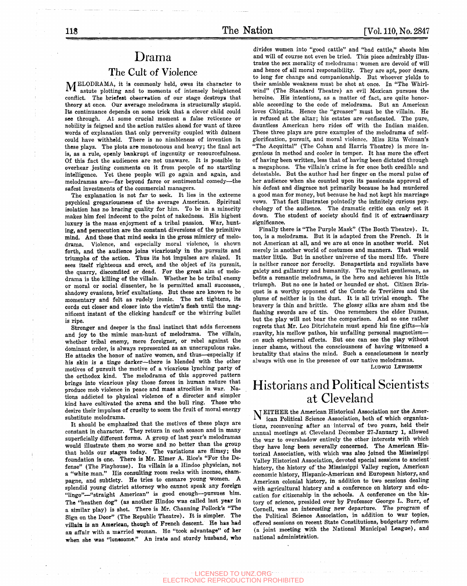## Drama

### The Cult of Violence

MELODRAMA, it is commonly held, owes its character to astute plotting and to moments of intensely heightened conflict. The briefest obserration of our stage destroys that theory at once. Our average melodrama is structurally stupid. Its continuance depends on some trick that a clever child could see through. At some crucial moment a false reticence or nobility is feigned and the action rattles ahead for want of three words of explanation that only perversity coupled with dulness could have withheld. There is no nimbleness of invention in these plays. The plots are monotonous and heavy; the final act is, as a rule, openly bankrupt of ingenuity or resourcefulness. Of this fact the audiences are not unaware. It is possible to overhear jesting comments on it from people of no startling intelligence. Yet these people will go again and again, and melodramas are—far beyond farce or sentimental comedy—the safest investments of the commercial managers.

The explanation is not far to seek. It lies in the extreme psychical gregariousness of the average American. Spiritual isolation has no bracing quality for him. To be in a minority makes him feel indecent to the point of nakedness. His highest luxury is the mass enjoyment of a tribal passion. War, hunting, and persecution are the constant diversions of the primitive mind. And these that mind seeks in the gross mimicry of melodrama. Violence, and especially moral violence, is shown forth, and the audience joins vicariously in the pursuits and triumphs of the action. Thus its hot impulses are slaked. It sees itself righteous and erect, and the object of its pursuit, the quarry, discomfited or dead. For the great aim of melodrama is the killing of the villain. Whether he be tribal enemy or moral or social dissenter, he is permitted small successes, shadowy evasions, brief exultations. But these are known to be momentary and felt as rudely ironic. The net tightens, its cords cut closer and closer into the victim's flesh until the magnificent instant of the clicking handcuff or the whirring bullet is ripe.

Stronger and deeper is the final instinct that adds fierceness and joy to the mimic man-hunt of melodrama. The villain, whether tribal enemy, mere foreigner, or rebel against the dominant order, is always represented as an unscrupulous rake. He attacks the honor of native women, and thus—especially if his skin is a tinge darker—there is blended with the other motives of pursuit the motive of a vicarious lynching party of the orthodox kind. The melodrama of this approved pattern brings into vicarious play those forces in human nature that produce mob violence in peace and mass atrocities in war. Nations addicted to physical violence of a directer and simpler kind have cultivated the arena and the bull ring. Those who desire their impulses of cruelty to seem the fruit of moral energy substitute melodrama.

It should be emphasized that the motives of these plays are constant in character. They return in each season and in many superficially different forms. A group of last year's melodramas would illustrate them no worse and no better than the group that holds our stages today. The variations are flimsy; the foundation is one. There is Mr. Elmer A. Rice's "For the Defense" (The Playhouse). Its villain is a Hindoo physician, not a "white man." His consulting room reeks with incense, champagne, and subtlety. He tries to ensnare young women. A splendid young district attorney who cannot speak any foreign "lingo"—"straight American" is good enough—pursues him. The "heathen dog" (as another Hindoo was called last year in a similar play) is shot. There is Mr. Channing Pollock's "The Sign on the Door" (The Republic Theatre). It is simpler. The villain is an American, though of French descent. He has had aa affair with a married woman. He "took advantage" of her when she was "lonesome." An irate and sturdy husband, who

divides women into "good cattle" and "bad cattle," shoots him and will of course not even be tried. This piece admirably illustrates the sex morality of melodrama: women are devoid of will and hence of all moral responsibility. They are apt, poor dears, to long for change and companionship. But whoever yields to their amiable weakness must be shot at once. In "The Whirlwind" (The Standard Theatre) an evil Mexican pursues the heroine. His intentions, as a matter of fact, are quite honorable according to the code of melodrama. But an American loves Chiquita. Hence the "greaser" must be the villain. He is refused at the altar; his estates are confiscated. The pure, dauntless American hero rides off with the Indian maiden. These three plays are pure examples of the melodrama of selfglorification, pursuit, and moral violence. Miss Rita Weiman's "The Acquittal" (The Cohan and Harris Theatre) is more ingenious in method and cooler in temper. It has more the effect of having been written, less that of having been dictated through a megaphone. The villain's crime is for once both credible and detestable. But the author had her finger on the moral pulse of her audience when she counted upon its passionate approval of his defeat and disgrace not primarily because he had murdered a good man for money, but because he had not kept his marriage vows. That fact illustrates pointedly the infinitely curious psychology of the audience. The dramatic critic can only set it down. The student of society should find it of extraardinary significance.

Finally there is "The Purple Mask" (The Booth Theatre). It, too, is a melodrama. But it is adapted from the French. It is not American at all, and we are at once in another world. Not merely in another world of costumes and manners. That would matter little. But in another universe of the moral life. There is neither rancor nor ferocity. Bonapartists and royalists have gaiety and gallantry and humanity. The royalist gentleman, as befits a romantic melodrama, is the hero and achieves his little triumph. But no one is hated or hounded or shot. Citizen Brisquet is a worthy opponent of the Comte de Trevières and the plume of neither is in the dust. It is all trivial enough. The bravery is thin and brittle. The glossy silks are sham and the flashing swords are of tin. One remembers the elder Dumas, but the play will not bear the comparison. And so one rather regrets that Mr. Leo Ditrichstein must spend his fine gifts—^his suavity, his mellow pathos, his unfailing personal magnetism on such ephemeral effects. But one can see the play without inner shame, without the consciousness of having witnessed a brutality that stains the mind. Such a consciousness is nearly always with one in the presence of our native melodramas. LUDWIG LEWISOHN

## Historians and Political Scientists at Cleveland

N EITHER the American Historical Association nor the American Political Science Association, both of which organizations, reconvening after an interval of two years, held their annual meetings at Cleveland December 27-January 1, allowed the war to overshadow entirely the other interests with which they have long been severally concerned. The American Historical Association, with which was also joined the Mississippi Valley Historical Association, devoted special sessions to ancient history, the history of the Mississippi Valley region, American economic history, Hispanic-American and European history, and American colonial history, in addition to two sessions dealing with agricultural history and a conference on history and education for citizenship in the schools. A conference on the history of science, presided over by Professor George L. Burr, of Cornell, was an interesting new departure. The program of the Political Science Association, in addition to war topics, offered sessions on recent State Constitutions, budgetary reform (a joint meeting with the National Municipal League), and national administration.